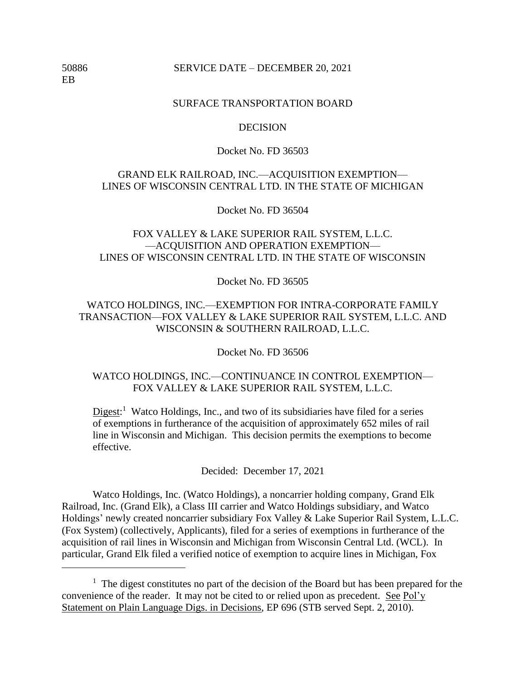50886 SERVICE DATE – DECEMBER 20, 2021

EB

### SURFACE TRANSPORTATION BOARD

#### **DECISION**

### Docket No. FD 36503

# GRAND ELK RAILROAD, INC.—ACQUISITION EXEMPTION— LINES OF WISCONSIN CENTRAL LTD. IN THE STATE OF MICHIGAN

Docket No. FD 36504

# FOX VALLEY & LAKE SUPERIOR RAIL SYSTEM, L.L.C. —ACQUISITION AND OPERATION EXEMPTION— LINES OF WISCONSIN CENTRAL LTD. IN THE STATE OF WISCONSIN

Docket No. FD 36505

# WATCO HOLDINGS, INC.—EXEMPTION FOR INTRA-CORPORATE FAMILY TRANSACTION—FOX VALLEY & LAKE SUPERIOR RAIL SYSTEM, L.L.C. AND WISCONSIN & SOUTHERN RAILROAD, L.L.C.

Docket No. FD 36506

# WATCO HOLDINGS, INC.—CONTINUANCE IN CONTROL EXEMPTION— FOX VALLEY & LAKE SUPERIOR RAIL SYSTEM, L.L.C.

Digest:<sup>1</sup> Watco Holdings, Inc., and two of its subsidiaries have filed for a series of exemptions in furtherance of the acquisition of approximately 652 miles of rail line in Wisconsin and Michigan. This decision permits the exemptions to become effective.

Decided: December 17, 2021

Watco Holdings, Inc. (Watco Holdings), a noncarrier holding company, Grand Elk Railroad, Inc. (Grand Elk), a Class III carrier and Watco Holdings subsidiary, and Watco Holdings' newly created noncarrier subsidiary Fox Valley & Lake Superior Rail System, L.L.C. (Fox System) (collectively, Applicants), filed for a series of exemptions in furtherance of the acquisition of rail lines in Wisconsin and Michigan from Wisconsin Central Ltd. (WCL). In particular, Grand Elk filed a verified notice of exemption to acquire lines in Michigan, Fox

 $<sup>1</sup>$  The digest constitutes no part of the decision of the Board but has been prepared for the</sup> convenience of the reader. It may not be cited to or relied upon as precedent. See Pol'y Statement on Plain Language Digs. in Decisions, EP 696 (STB served Sept. 2, 2010).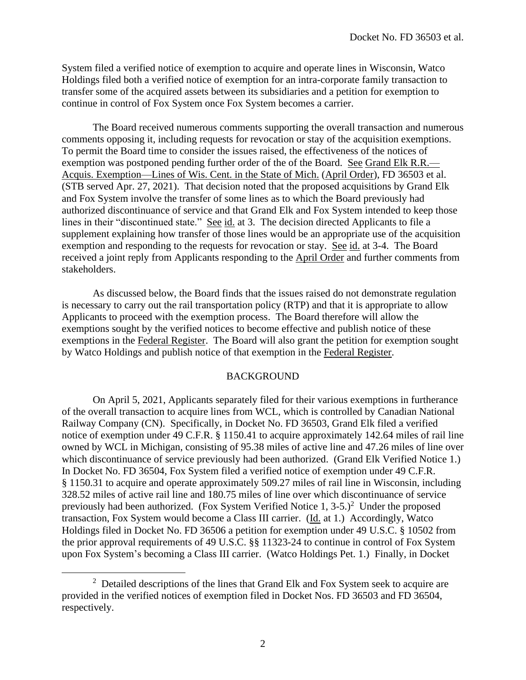System filed a verified notice of exemption to acquire and operate lines in Wisconsin, Watco Holdings filed both a verified notice of exemption for an intra-corporate family transaction to transfer some of the acquired assets between its subsidiaries and a petition for exemption to continue in control of Fox System once Fox System becomes a carrier.

The Board received numerous comments supporting the overall transaction and numerous comments opposing it, including requests for revocation or stay of the acquisition exemptions. To permit the Board time to consider the issues raised, the effectiveness of the notices of exemption was postponed pending further order of the of the Board. See Grand Elk R.R.— Acquis. Exemption—Lines of Wis. Cent. in the State of Mich. (April Order), FD 36503 et al. (STB served Apr. 27, 2021). That decision noted that the proposed acquisitions by Grand Elk and Fox System involve the transfer of some lines as to which the Board previously had authorized discontinuance of service and that Grand Elk and Fox System intended to keep those lines in their "discontinued state." See id. at 3. The decision directed Applicants to file a supplement explaining how transfer of those lines would be an appropriate use of the acquisition exemption and responding to the requests for revocation or stay. See id. at 3-4. The Board received a joint reply from Applicants responding to the April Order and further comments from stakeholders.

As discussed below, the Board finds that the issues raised do not demonstrate regulation is necessary to carry out the rail transportation policy (RTP) and that it is appropriate to allow Applicants to proceed with the exemption process. The Board therefore will allow the exemptions sought by the verified notices to become effective and publish notice of these exemptions in the Federal Register. The Board will also grant the petition for exemption sought by Watco Holdings and publish notice of that exemption in the Federal Register.

#### BACKGROUND

On April 5, 2021, Applicants separately filed for their various exemptions in furtherance of the overall transaction to acquire lines from WCL, which is controlled by Canadian National Railway Company (CN). Specifically, in Docket No. FD 36503, Grand Elk filed a verified notice of exemption under 49 C.F.R. § 1150.41 to acquire approximately 142.64 miles of rail line owned by WCL in Michigan, consisting of 95.38 miles of active line and 47.26 miles of line over which discontinuance of service previously had been authorized. (Grand Elk Verified Notice 1.) In Docket No. FD 36504, Fox System filed a verified notice of exemption under 49 C.F.R. § 1150.31 to acquire and operate approximately 509.27 miles of rail line in Wisconsin, including 328.52 miles of active rail line and 180.75 miles of line over which discontinuance of service previously had been authorized. (Fox System Verified Notice 1,  $3-5$ .)<sup>2</sup> Under the proposed transaction, Fox System would become a Class III carrier. (Id. at 1.) Accordingly, Watco Holdings filed in Docket No. FD 36506 a petition for exemption under 49 U.S.C. § 10502 from the prior approval requirements of 49 U.S.C. §§ 11323-24 to continue in control of Fox System upon Fox System's becoming a Class III carrier. (Watco Holdings Pet. 1.) Finally, in Docket

 $2$  Detailed descriptions of the lines that Grand Elk and Fox System seek to acquire are provided in the verified notices of exemption filed in Docket Nos. FD 36503 and FD 36504, respectively.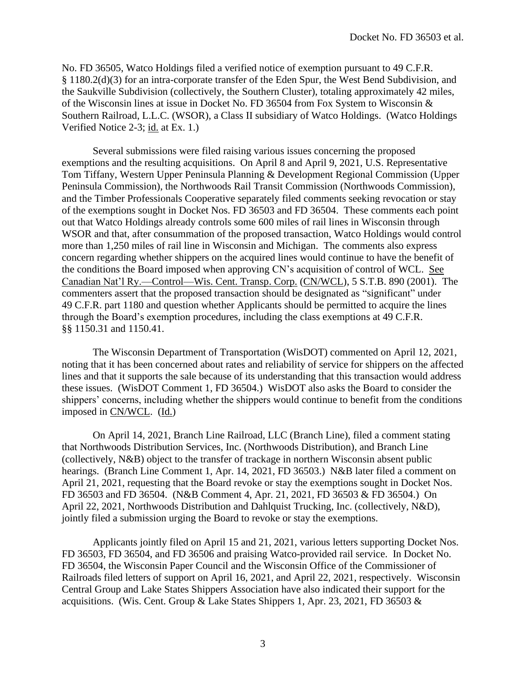No. FD 36505, Watco Holdings filed a verified notice of exemption pursuant to 49 C.F.R. § 1180.2(d)(3) for an intra-corporate transfer of the Eden Spur, the West Bend Subdivision, and the Saukville Subdivision (collectively, the Southern Cluster), totaling approximately 42 miles, of the Wisconsin lines at issue in Docket No. FD 36504 from Fox System to Wisconsin & Southern Railroad, L.L.C. (WSOR), a Class II subsidiary of Watco Holdings. (Watco Holdings Verified Notice 2-3; id. at Ex. 1.)

Several submissions were filed raising various issues concerning the proposed exemptions and the resulting acquisitions. On April 8 and April 9, 2021, U.S. Representative Tom Tiffany, Western Upper Peninsula Planning & Development Regional Commission (Upper Peninsula Commission), the Northwoods Rail Transit Commission (Northwoods Commission), and the Timber Professionals Cooperative separately filed comments seeking revocation or stay of the exemptions sought in Docket Nos. FD 36503 and FD 36504. These comments each point out that Watco Holdings already controls some 600 miles of rail lines in Wisconsin through WSOR and that, after consummation of the proposed transaction, Watco Holdings would control more than 1,250 miles of rail line in Wisconsin and Michigan. The comments also express concern regarding whether shippers on the acquired lines would continue to have the benefit of the conditions the Board imposed when approving CN's acquisition of control of WCL. See Canadian Nat'l Ry.—Control—Wis. Cent. Transp. Corp. (CN/WCL), 5 S.T.B. 890 (2001). The commenters assert that the proposed transaction should be designated as "significant" under 49 C.F.R. part 1180 and question whether Applicants should be permitted to acquire the lines through the Board's exemption procedures, including the class exemptions at 49 C.F.R. §§ 1150.31 and 1150.41.

The Wisconsin Department of Transportation (WisDOT) commented on April 12, 2021, noting that it has been concerned about rates and reliability of service for shippers on the affected lines and that it supports the sale because of its understanding that this transaction would address these issues. (WisDOT Comment 1, FD 36504.) WisDOT also asks the Board to consider the shippers' concerns, including whether the shippers would continue to benefit from the conditions imposed in CN/WCL. (Id.)

On April 14, 2021, Branch Line Railroad, LLC (Branch Line), filed a comment stating that Northwoods Distribution Services, Inc. (Northwoods Distribution), and Branch Line (collectively, N&B) object to the transfer of trackage in northern Wisconsin absent public hearings. (Branch Line Comment 1, Apr. 14, 2021, FD 36503.) N&B later filed a comment on April 21, 2021, requesting that the Board revoke or stay the exemptions sought in Docket Nos. FD 36503 and FD 36504. (N&B Comment 4, Apr. 21, 2021, FD 36503 & FD 36504.) On April 22, 2021, Northwoods Distribution and Dahlquist Trucking, Inc. (collectively, N&D), jointly filed a submission urging the Board to revoke or stay the exemptions.

Applicants jointly filed on April 15 and 21, 2021, various letters supporting Docket Nos. FD 36503, FD 36504, and FD 36506 and praising Watco-provided rail service. In Docket No. FD 36504, the Wisconsin Paper Council and the Wisconsin Office of the Commissioner of Railroads filed letters of support on April 16, 2021, and April 22, 2021, respectively. Wisconsin Central Group and Lake States Shippers Association have also indicated their support for the acquisitions. (Wis. Cent. Group & Lake States Shippers 1, Apr. 23, 2021, FD 36503 &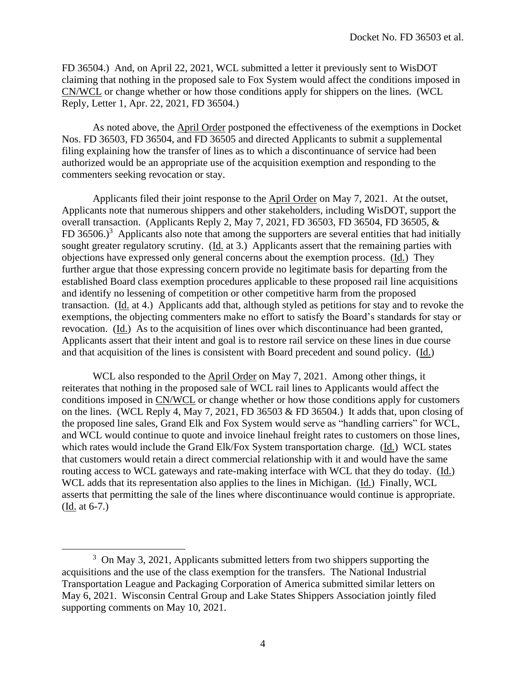FD 36504.) And, on April 22, 2021, WCL submitted a letter it previously sent to WisDOT claiming that nothing in the proposed sale to Fox System would affect the conditions imposed in CN/WCL or change whether or how those conditions apply for shippers on the lines. (WCL Reply, Letter 1, Apr. 22, 2021, FD 36504.)

As noted above, the **April Order** postponed the effectiveness of the exemptions in Docket Nos. FD 36503, FD 36504, and FD 36505 and directed Applicants to submit a supplemental filing explaining how the transfer of lines as to which a discontinuance of service had been authorized would be an appropriate use of the acquisition exemption and responding to the commenters seeking revocation or stay.

Applicants filed their joint response to the April Order on May 7, 2021. At the outset, Applicants note that numerous shippers and other stakeholders, including WisDOT, support the overall transaction. (Applicants Reply 2, May 7, 2021, FD 36503, FD 36504, FD 36505, & FD 36506.)<sup>3</sup> Applicants also note that among the supporters are several entities that had initially sought greater regulatory scrutiny. (Id. at 3.) Applicants assert that the remaining parties with objections have expressed only general concerns about the exemption process. (Id.) They further argue that those expressing concern provide no legitimate basis for departing from the established Board class exemption procedures applicable to these proposed rail line acquisitions and identify no lessening of competition or other competitive harm from the proposed transaction. (Id. at 4.) Applicants add that, although styled as petitions for stay and to revoke the exemptions, the objecting commenters make no effort to satisfy the Board's standards for stay or revocation. (Id.) As to the acquisition of lines over which discontinuance had been granted, Applicants assert that their intent and goal is to restore rail service on these lines in due course and that acquisition of the lines is consistent with Board precedent and sound policy. (Id.)

WCL also responded to the April Order on May 7, 2021. Among other things, it reiterates that nothing in the proposed sale of WCL rail lines to Applicants would affect the conditions imposed in CN/WCL or change whether or how those conditions apply for customers on the lines. (WCL Reply 4, May 7, 2021, FD 36503 & FD 36504.) It adds that, upon closing of the proposed line sales, Grand Elk and Fox System would serve as "handling carriers" for WCL, and WCL would continue to quote and invoice linehaul freight rates to customers on those lines, which rates would include the Grand Elk/Fox System transportation charge. (Id.) WCL states that customers would retain a direct commercial relationship with it and would have the same routing access to WCL gateways and rate-making interface with WCL that they do today. (Id.) WCL adds that its representation also applies to the lines in Michigan. (Id.) Finally, WCL asserts that permitting the sale of the lines where discontinuance would continue is appropriate. (Id. at 6-7.)

<sup>&</sup>lt;sup>3</sup> On May 3, 2021, Applicants submitted letters from two shippers supporting the acquisitions and the use of the class exemption for the transfers. The National Industrial Transportation League and Packaging Corporation of America submitted similar letters on May 6, 2021. Wisconsin Central Group and Lake States Shippers Association jointly filed supporting comments on May 10, 2021.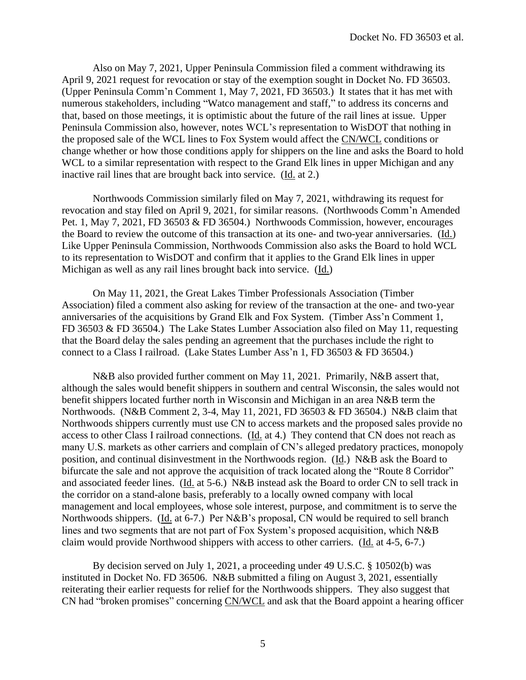Also on May 7, 2021, Upper Peninsula Commission filed a comment withdrawing its April 9, 2021 request for revocation or stay of the exemption sought in Docket No. FD 36503. (Upper Peninsula Comm'n Comment 1, May 7, 2021, FD 36503.) It states that it has met with numerous stakeholders, including "Watco management and staff," to address its concerns and that, based on those meetings, it is optimistic about the future of the rail lines at issue. Upper Peninsula Commission also, however, notes WCL's representation to WisDOT that nothing in the proposed sale of the WCL lines to Fox System would affect the CN/WCL conditions or change whether or how those conditions apply for shippers on the line and asks the Board to hold WCL to a similar representation with respect to the Grand Elk lines in upper Michigan and any inactive rail lines that are brought back into service. (Id. at 2.)

Northwoods Commission similarly filed on May 7, 2021, withdrawing its request for revocation and stay filed on April 9, 2021, for similar reasons. (Northwoods Comm'n Amended Pet. 1, May 7, 2021, FD 36503 & FD 36504.) Northwoods Commission, however, encourages the Board to review the outcome of this transaction at its one- and two-year anniversaries. (Id.) Like Upper Peninsula Commission, Northwoods Commission also asks the Board to hold WCL to its representation to WisDOT and confirm that it applies to the Grand Elk lines in upper Michigan as well as any rail lines brought back into service. (Id.)

On May 11, 2021, the Great Lakes Timber Professionals Association (Timber Association) filed a comment also asking for review of the transaction at the one- and two-year anniversaries of the acquisitions by Grand Elk and Fox System. (Timber Ass'n Comment 1, FD 36503 & FD 36504.) The Lake States Lumber Association also filed on May 11, requesting that the Board delay the sales pending an agreement that the purchases include the right to connect to a Class I railroad. (Lake States Lumber Ass'n 1, FD 36503 & FD 36504.)

N&B also provided further comment on May 11, 2021. Primarily, N&B assert that, although the sales would benefit shippers in southern and central Wisconsin, the sales would not benefit shippers located further north in Wisconsin and Michigan in an area N&B term the Northwoods. (N&B Comment 2, 3-4, May 11, 2021, FD 36503 & FD 36504.) N&B claim that Northwoods shippers currently must use CN to access markets and the proposed sales provide no access to other Class I railroad connections. (Id. at 4.) They contend that CN does not reach as many U.S. markets as other carriers and complain of CN's alleged predatory practices, monopoly position, and continual disinvestment in the Northwoods region. (Id.) N&B ask the Board to bifurcate the sale and not approve the acquisition of track located along the "Route 8 Corridor" and associated feeder lines. (Id. at 5-6.) N&B instead ask the Board to order CN to sell track in the corridor on a stand-alone basis, preferably to a locally owned company with local management and local employees, whose sole interest, purpose, and commitment is to serve the Northwoods shippers. (Id. at 6-7.) Per N&B's proposal, CN would be required to sell branch lines and two segments that are not part of Fox System's proposed acquisition, which N&B claim would provide Northwood shippers with access to other carriers. (Id. at 4-5, 6-7.)

By decision served on July 1, 2021, a proceeding under 49 U.S.C. § 10502(b) was instituted in Docket No. FD 36506. N&B submitted a filing on August 3, 2021, essentially reiterating their earlier requests for relief for the Northwoods shippers. They also suggest that CN had "broken promises" concerning CN/WCL and ask that the Board appoint a hearing officer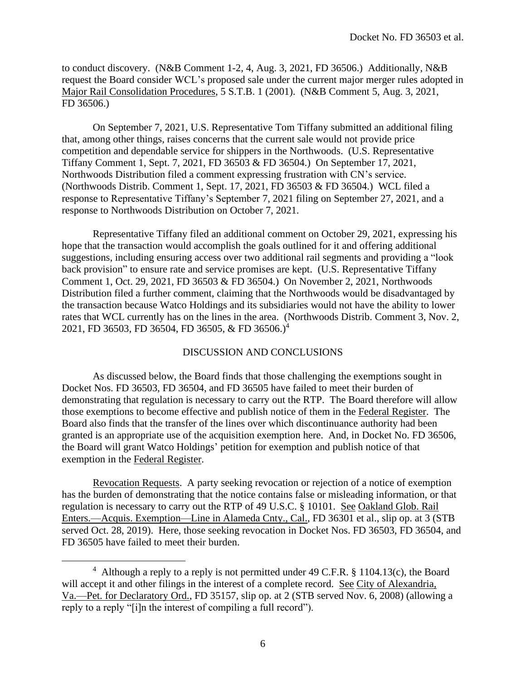to conduct discovery. (N&B Comment 1-2, 4, Aug. 3, 2021, FD 36506.) Additionally, N&B request the Board consider WCL's proposed sale under the current major merger rules adopted in Major Rail Consolidation Procedures, 5 S.T.B. 1 (2001). (N&B Comment 5, Aug. 3, 2021, FD 36506.)

On September 7, 2021, U.S. Representative Tom Tiffany submitted an additional filing that, among other things, raises concerns that the current sale would not provide price competition and dependable service for shippers in the Northwoods. (U.S. Representative Tiffany Comment 1, Sept. 7, 2021, FD 36503 & FD 36504.) On September 17, 2021, Northwoods Distribution filed a comment expressing frustration with CN's service. (Northwoods Distrib. Comment 1, Sept. 17, 2021, FD 36503 & FD 36504.) WCL filed a response to Representative Tiffany's September 7, 2021 filing on September 27, 2021, and a response to Northwoods Distribution on October 7, 2021.

Representative Tiffany filed an additional comment on October 29, 2021, expressing his hope that the transaction would accomplish the goals outlined for it and offering additional suggestions, including ensuring access over two additional rail segments and providing a "look back provision" to ensure rate and service promises are kept. (U.S. Representative Tiffany Comment 1, Oct. 29, 2021, FD 36503 & FD 36504.) On November 2, 2021, Northwoods Distribution filed a further comment, claiming that the Northwoods would be disadvantaged by the transaction because Watco Holdings and its subsidiaries would not have the ability to lower rates that WCL currently has on the lines in the area. (Northwoods Distrib. Comment 3, Nov. 2, 2021, FD 36503, FD 36504, FD 36505, & FD 36506.)<sup>4</sup>

# DISCUSSION AND CONCLUSIONS

As discussed below, the Board finds that those challenging the exemptions sought in Docket Nos. FD 36503, FD 36504, and FD 36505 have failed to meet their burden of demonstrating that regulation is necessary to carry out the RTP. The Board therefore will allow those exemptions to become effective and publish notice of them in the Federal Register. The Board also finds that the transfer of the lines over which discontinuance authority had been granted is an appropriate use of the acquisition exemption here. And, in Docket No. FD 36506, the Board will grant Watco Holdings' petition for exemption and publish notice of that exemption in the Federal Register.

Revocation Requests. A party seeking revocation or rejection of a notice of exemption has the burden of demonstrating that the notice contains false or misleading information, or that regulation is necessary to carry out the RTP of 49 U.S.C. § 10101. See Oakland Glob. Rail Enters.—Acquis. Exemption—Line in Alameda Cnty., Cal., FD 36301 et al., slip op. at 3 (STB served Oct. 28, 2019). Here, those seeking revocation in Docket Nos. FD 36503, FD 36504, and FD 36505 have failed to meet their burden.

<sup>&</sup>lt;sup>4</sup> Although a reply to a reply is not permitted under 49 C.F.R. § 1104.13(c), the Board will accept it and other filings in the interest of a complete record. See City of Alexandria, Va.—Pet. for Declaratory Ord., FD 35157, slip op. at 2 (STB served Nov. 6, 2008) (allowing a reply to a reply "[i]n the interest of compiling a full record").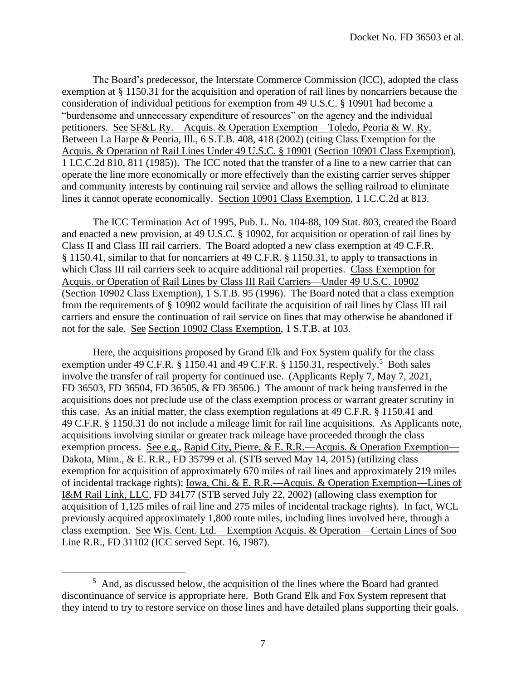The Board's predecessor, the Interstate Commerce Commission (ICC), adopted the class exemption at § 1150.31 for the acquisition and operation of rail lines by noncarriers because the consideration of individual petitions for exemption from 49 U.S.C. § 10901 had become a "burdensome and unnecessary expenditure of resources" on the agency and the individual petitioners. See SF&L Ry.—Acquis. & Operation Exemption—Toledo, Peoria & W. Ry. Between La Harpe & Peoria, Ill., 6 S.T.B. 408, 418 (2002) (citing Class Exemption for the Acquis. & Operation of Rail Lines Under 49 U.S.C. § 10901 (Section 10901 Class Exemption), 1 I.C.C.2d 810, 811 (1985)). The ICC noted that the transfer of a line to a new carrier that can operate the line more economically or more effectively than the existing carrier serves shipper and community interests by continuing rail service and allows the selling railroad to eliminate lines it cannot operate economically. Section 10901 Class Exemption, 1 I.C.C.2d at 813.

The ICC Termination Act of 1995, Pub. L. No. 104-88, 109 Stat. 803, created the Board and enacted a new provision, at 49 U.S.C. § 10902, for acquisition or operation of rail lines by Class II and Class III rail carriers. The Board adopted a new class exemption at 49 C.F.R. § 1150.41, similar to that for noncarriers at 49 C.F.R. § 1150.31, to apply to transactions in which Class III rail carriers seek to acquire additional rail properties. Class Exemption for Acquis. or Operation of Rail Lines by Class III Rail Carriers—Under 49 U.S.C. 10902 (Section 10902 Class Exemption), 1 S.T.B. 95 (1996). The Board noted that a class exemption from the requirements of § 10902 would facilitate the acquisition of rail lines by Class III rail carriers and ensure the continuation of rail service on lines that may otherwise be abandoned if not for the sale. See Section 10902 Class Exemption, 1 S.T.B. at 103.

Here, the acquisitions proposed by Grand Elk and Fox System qualify for the class exemption under 49 C.F.R. § 1150.41 and 49 C.F.R. § 1150.31, respectively.<sup>5</sup> Both sales involve the transfer of rail property for continued use. (Applicants Reply 7, May 7, 2021, FD 36503, FD 36504, FD 36505, & FD 36506.) The amount of track being transferred in the acquisitions does not preclude use of the class exemption process or warrant greater scrutiny in this case. As an initial matter, the class exemption regulations at 49 C.F.R. § 1150.41 and 49 C.F.R. § 1150.31 do not include a mileage limit for rail line acquisitions. As Applicants note, acquisitions involving similar or greater track mileage have proceeded through the class exemption process. See e.g., Rapid City, Pierre, & E. R.R.—Acquis. & Operation Exemption— Dakota, Minn., & E. R.R., FD 35799 et al. (STB served May 14, 2015) (utilizing class exemption for acquisition of approximately 670 miles of rail lines and approximately 219 miles of incidental trackage rights); Iowa, Chi. & E. R.R.—Acquis. & Operation Exemption—Lines of I&M Rail Link, LLC, FD 34177 (STB served July 22, 2002) (allowing class exemption for acquisition of 1,125 miles of rail line and 275 miles of incidental trackage rights). In fact, WCL previously acquired approximately 1,800 route miles, including lines involved here, through a class exemption. See Wis. Cent. Ltd.—Exemption Acquis. & Operation—Certain Lines of Soo Line R.R., FD 31102 (ICC served Sept. 16, 1987).

<sup>&</sup>lt;sup>5</sup> And, as discussed below, the acquisition of the lines where the Board had granted discontinuance of service is appropriate here. Both Grand Elk and Fox System represent that they intend to try to restore service on those lines and have detailed plans supporting their goals.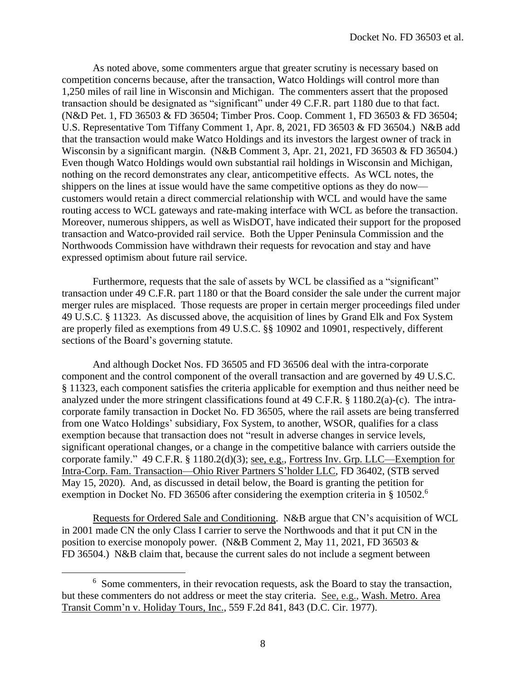As noted above, some commenters argue that greater scrutiny is necessary based on competition concerns because, after the transaction, Watco Holdings will control more than 1,250 miles of rail line in Wisconsin and Michigan. The commenters assert that the proposed transaction should be designated as "significant" under 49 C.F.R. part 1180 due to that fact. (N&D Pet. 1, FD 36503 & FD 36504; Timber Pros. Coop. Comment 1, FD 36503 & FD 36504; U.S. Representative Tom Tiffany Comment 1, Apr. 8, 2021, FD 36503 & FD 36504.) N&B add that the transaction would make Watco Holdings and its investors the largest owner of track in Wisconsin by a significant margin. (N&B Comment 3, Apr. 21, 2021, FD 36503 & FD 36504.) Even though Watco Holdings would own substantial rail holdings in Wisconsin and Michigan, nothing on the record demonstrates any clear, anticompetitive effects. As WCL notes, the shippers on the lines at issue would have the same competitive options as they do now customers would retain a direct commercial relationship with WCL and would have the same routing access to WCL gateways and rate-making interface with WCL as before the transaction. Moreover, numerous shippers, as well as WisDOT, have indicated their support for the proposed transaction and Watco-provided rail service. Both the Upper Peninsula Commission and the Northwoods Commission have withdrawn their requests for revocation and stay and have expressed optimism about future rail service.

Furthermore, requests that the sale of assets by WCL be classified as a "significant" transaction under 49 C.F.R. part 1180 or that the Board consider the sale under the current major merger rules are misplaced. Those requests are proper in certain merger proceedings filed under 49 U.S.C. § 11323. As discussed above, the acquisition of lines by Grand Elk and Fox System are properly filed as exemptions from 49 U.S.C. §§ 10902 and 10901, respectively, different sections of the Board's governing statute.

And although Docket Nos. FD 36505 and FD 36506 deal with the intra-corporate component and the control component of the overall transaction and are governed by 49 U.S.C. § 11323, each component satisfies the criteria applicable for exemption and thus neither need be analyzed under the more stringent classifications found at 49 C.F.R. § 1180.2(a)-(c). The intracorporate family transaction in Docket No. FD 36505, where the rail assets are being transferred from one Watco Holdings' subsidiary, Fox System, to another, WSOR, qualifies for a class exemption because that transaction does not "result in adverse changes in service levels, significant operational changes, or a change in the competitive balance with carriers outside the corporate family." 49 C.F.R. § 1180.2(d)(3); see, e.g., Fortress Inv. Grp. LLC—Exemption for Intra-Corp. Fam. Transaction—Ohio River Partners S'holder LLC, FD 36402, (STB served May 15, 2020). And, as discussed in detail below, the Board is granting the petition for exemption in Docket No. FD 36506 after considering the exemption criteria in § 10502.<sup>6</sup>

Requests for Ordered Sale and Conditioning. N&B argue that CN's acquisition of WCL in 2001 made CN the only Class I carrier to serve the Northwoods and that it put CN in the position to exercise monopoly power. (N&B Comment 2, May 11, 2021, FD 36503 & FD 36504.) N&B claim that, because the current sales do not include a segment between

<sup>&</sup>lt;sup>6</sup> Some commenters, in their revocation requests, ask the Board to stay the transaction, but these commenters do not address or meet the stay criteria. See, e.g., Wash. Metro. Area Transit Comm'n v. Holiday Tours, Inc., 559 F.2d 841, 843 (D.C. Cir. 1977).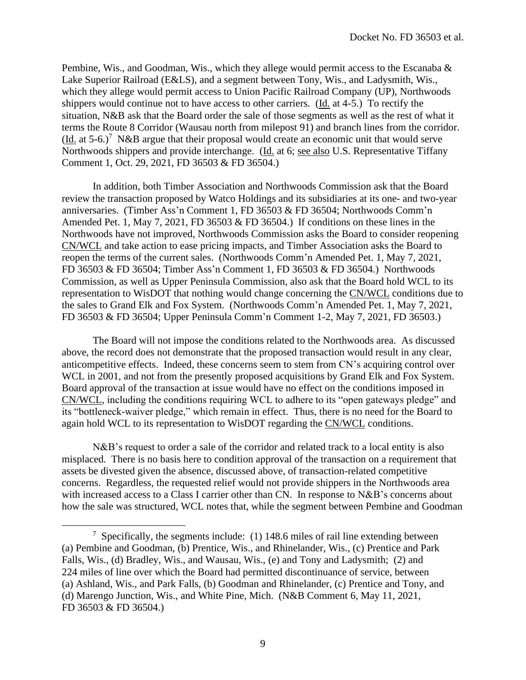Pembine, Wis., and Goodman, Wis., which they allege would permit access to the Escanaba & Lake Superior Railroad (E&LS), and a segment between Tony, Wis., and Ladysmith, Wis., which they allege would permit access to Union Pacific Railroad Company (UP), Northwoods shippers would continue not to have access to other carriers. (Id. at 4-5.) To rectify the situation, N&B ask that the Board order the sale of those segments as well as the rest of what it terms the Route 8 Corridor (Wausau north from milepost 91) and branch lines from the corridor. (Id. at  $5-6$ .)<sup>7</sup> N&B argue that their proposal would create an economic unit that would serve Northwoods shippers and provide interchange. (Id. at 6; see also U.S. Representative Tiffany Comment 1, Oct. 29, 2021, FD 36503 & FD 36504.)

In addition, both Timber Association and Northwoods Commission ask that the Board review the transaction proposed by Watco Holdings and its subsidiaries at its one- and two-year anniversaries. (Timber Ass'n Comment 1, FD 36503 & FD 36504; Northwoods Comm'n Amended Pet. 1, May 7, 2021, FD 36503 & FD 36504.) If conditions on these lines in the Northwoods have not improved, Northwoods Commission asks the Board to consider reopening CN/WCL and take action to ease pricing impacts, and Timber Association asks the Board to reopen the terms of the current sales. (Northwoods Comm'n Amended Pet. 1, May 7, 2021, FD 36503 & FD 36504; Timber Ass'n Comment 1, FD 36503 & FD 36504.) Northwoods Commission, as well as Upper Peninsula Commission, also ask that the Board hold WCL to its representation to WisDOT that nothing would change concerning the CN/WCL conditions due to the sales to Grand Elk and Fox System. (Northwoods Comm'n Amended Pet. 1, May 7, 2021, FD 36503 & FD 36504; Upper Peninsula Comm'n Comment 1-2, May 7, 2021, FD 36503.)

The Board will not impose the conditions related to the Northwoods area. As discussed above, the record does not demonstrate that the proposed transaction would result in any clear, anticompetitive effects. Indeed, these concerns seem to stem from CN's acquiring control over WCL in 2001, and not from the presently proposed acquisitions by Grand Elk and Fox System. Board approval of the transaction at issue would have no effect on the conditions imposed in CN/WCL, including the conditions requiring WCL to adhere to its "open gateways pledge" and its "bottleneck-waiver pledge," which remain in effect. Thus, there is no need for the Board to again hold WCL to its representation to WisDOT regarding the CN/WCL conditions.

N&B's request to order a sale of the corridor and related track to a local entity is also misplaced. There is no basis here to condition approval of the transaction on a requirement that assets be divested given the absence, discussed above, of transaction-related competitive concerns. Regardless, the requested relief would not provide shippers in the Northwoods area with increased access to a Class I carrier other than CN. In response to N&B's concerns about how the sale was structured, WCL notes that, while the segment between Pembine and Goodman

<sup>&</sup>lt;sup>7</sup> Specifically, the segments include: (1) 148.6 miles of rail line extending between (a) Pembine and Goodman, (b) Prentice, Wis., and Rhinelander, Wis., (c) Prentice and Park Falls, Wis., (d) Bradley, Wis., and Wausau, Wis., (e) and Tony and Ladysmith; (2) and 224 miles of line over which the Board had permitted discontinuance of service, between (a) Ashland, Wis., and Park Falls, (b) Goodman and Rhinelander, (c) Prentice and Tony, and (d) Marengo Junction, Wis., and White Pine, Mich. (N&B Comment 6, May 11, 2021, FD 36503 & FD 36504.)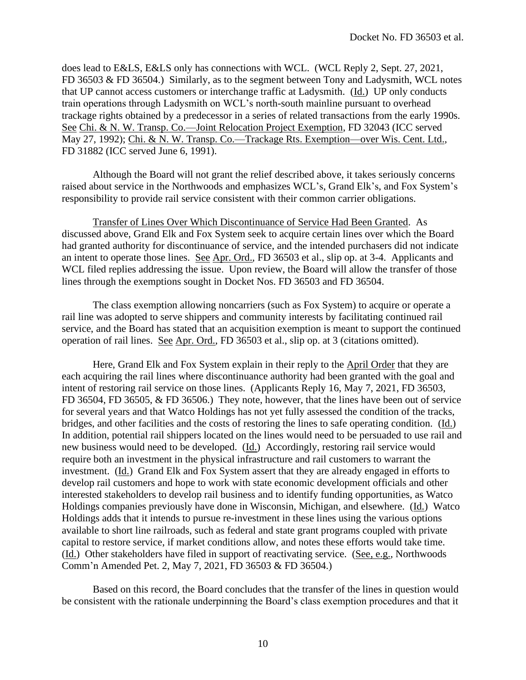does lead to E&LS, E&LS only has connections with WCL. (WCL Reply 2, Sept. 27, 2021, FD 36503 & FD 36504.) Similarly, as to the segment between Tony and Ladysmith, WCL notes that UP cannot access customers or interchange traffic at Ladysmith. (Id.) UP only conducts train operations through Ladysmith on WCL's north-south mainline pursuant to overhead trackage rights obtained by a predecessor in a series of related transactions from the early 1990s. See Chi. & N. W. Transp. Co.—Joint Relocation Project Exemption, FD 32043 (ICC served May 27, 1992); Chi. & N. W. Transp. Co.—Trackage Rts. Exemption—over Wis. Cent. Ltd., FD 31882 (ICC served June 6, 1991).

Although the Board will not grant the relief described above, it takes seriously concerns raised about service in the Northwoods and emphasizes WCL's, Grand Elk's, and Fox System's responsibility to provide rail service consistent with their common carrier obligations.

Transfer of Lines Over Which Discontinuance of Service Had Been Granted. As discussed above, Grand Elk and Fox System seek to acquire certain lines over which the Board had granted authority for discontinuance of service, and the intended purchasers did not indicate an intent to operate those lines. See Apr. Ord., FD 36503 et al., slip op. at 3-4. Applicants and WCL filed replies addressing the issue. Upon review, the Board will allow the transfer of those lines through the exemptions sought in Docket Nos. FD 36503 and FD 36504.

The class exemption allowing noncarriers (such as Fox System) to acquire or operate a rail line was adopted to serve shippers and community interests by facilitating continued rail service, and the Board has stated that an acquisition exemption is meant to support the continued operation of rail lines. See Apr. Ord., FD 36503 et al., slip op. at 3 (citations omitted).

Here, Grand Elk and Fox System explain in their reply to the April Order that they are each acquiring the rail lines where discontinuance authority had been granted with the goal and intent of restoring rail service on those lines. (Applicants Reply 16, May 7, 2021, FD 36503, FD 36504, FD 36505, & FD 36506.) They note, however, that the lines have been out of service for several years and that Watco Holdings has not yet fully assessed the condition of the tracks, bridges, and other facilities and the costs of restoring the lines to safe operating condition. (Id.) In addition, potential rail shippers located on the lines would need to be persuaded to use rail and new business would need to be developed. (Id.) Accordingly, restoring rail service would require both an investment in the physical infrastructure and rail customers to warrant the investment. (Id.) Grand Elk and Fox System assert that they are already engaged in efforts to develop rail customers and hope to work with state economic development officials and other interested stakeholders to develop rail business and to identify funding opportunities, as Watco Holdings companies previously have done in Wisconsin, Michigan, and elsewhere. (Id.) Watco Holdings adds that it intends to pursue re-investment in these lines using the various options available to short line railroads, such as federal and state grant programs coupled with private capital to restore service, if market conditions allow, and notes these efforts would take time. (Id.) Other stakeholders have filed in support of reactivating service. (See, e.g., Northwoods Comm'n Amended Pet. 2, May 7, 2021, FD 36503 & FD 36504.)

Based on this record, the Board concludes that the transfer of the lines in question would be consistent with the rationale underpinning the Board's class exemption procedures and that it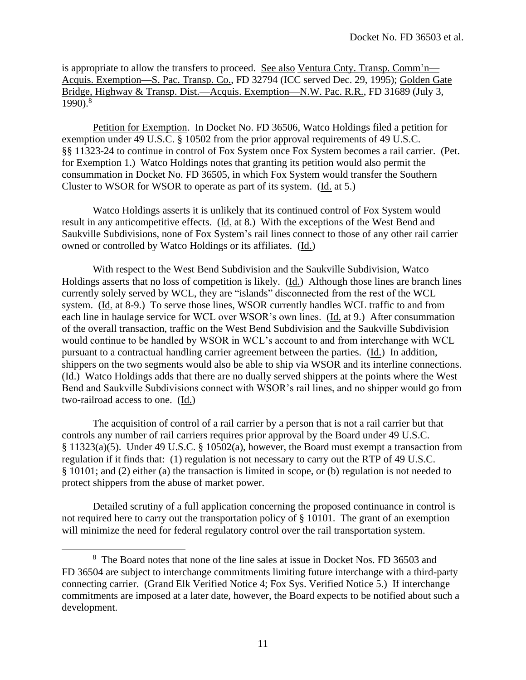is appropriate to allow the transfers to proceed. See also Ventura Cnty. Transp. Comm'n— Acquis. Exemption—S. Pac. Transp. Co., FD 32794 (ICC served Dec. 29, 1995); Golden Gate Bridge, Highway & Transp. Dist.—Acquis. Exemption—N.W. Pac. R.R., FD 31689 (July 3,  $1990$ ).<sup>8</sup>

Petition for Exemption. In Docket No. FD 36506, Watco Holdings filed a petition for exemption under 49 U.S.C. § 10502 from the prior approval requirements of 49 U.S.C. §§ 11323-24 to continue in control of Fox System once Fox System becomes a rail carrier. (Pet. for Exemption 1.) Watco Holdings notes that granting its petition would also permit the consummation in Docket No. FD 36505, in which Fox System would transfer the Southern Cluster to WSOR for WSOR to operate as part of its system. (Id. at 5.)

Watco Holdings asserts it is unlikely that its continued control of Fox System would result in any anticompetitive effects. (Id. at 8.) With the exceptions of the West Bend and Saukville Subdivisions, none of Fox System's rail lines connect to those of any other rail carrier owned or controlled by Watco Holdings or its affiliates. (Id.)

With respect to the West Bend Subdivision and the Saukville Subdivision, Watco Holdings asserts that no loss of competition is likely. (Id.) Although those lines are branch lines currently solely served by WCL, they are "islands" disconnected from the rest of the WCL system. (Id. at 8-9.) To serve those lines, WSOR currently handles WCL traffic to and from each line in haulage service for WCL over WSOR's own lines. (Id. at 9.) After consummation of the overall transaction, traffic on the West Bend Subdivision and the Saukville Subdivision would continue to be handled by WSOR in WCL's account to and from interchange with WCL pursuant to a contractual handling carrier agreement between the parties. (Id.) In addition, shippers on the two segments would also be able to ship via WSOR and its interline connections. (Id.) Watco Holdings adds that there are no dually served shippers at the points where the West Bend and Saukville Subdivisions connect with WSOR's rail lines, and no shipper would go from two-railroad access to one. (Id.)

The acquisition of control of a rail carrier by a person that is not a rail carrier but that controls any number of rail carriers requires prior approval by the Board under 49 U.S.C. § 11323(a)(5). Under 49 U.S.C. § 10502(a), however, the Board must exempt a transaction from regulation if it finds that: (1) regulation is not necessary to carry out the RTP of 49 U.S.C. § 10101; and (2) either (a) the transaction is limited in scope, or (b) regulation is not needed to protect shippers from the abuse of market power.

Detailed scrutiny of a full application concerning the proposed continuance in control is not required here to carry out the transportation policy of § 10101. The grant of an exemption will minimize the need for federal regulatory control over the rail transportation system.

<sup>&</sup>lt;sup>8</sup> The Board notes that none of the line sales at issue in Docket Nos. FD 36503 and FD 36504 are subject to interchange commitments limiting future interchange with a third-party connecting carrier. (Grand Elk Verified Notice 4; Fox Sys. Verified Notice 5.) If interchange commitments are imposed at a later date, however, the Board expects to be notified about such a development.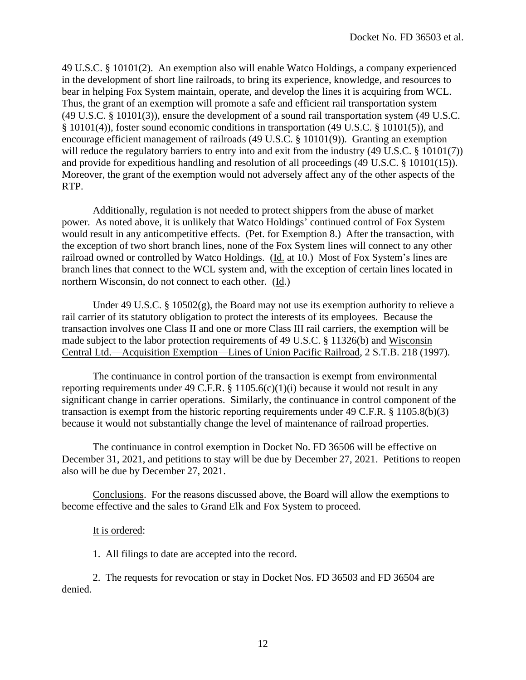49 U.S.C. § 10101(2). An exemption also will enable Watco Holdings, a company experienced in the development of short line railroads, to bring its experience, knowledge, and resources to bear in helping Fox System maintain, operate, and develop the lines it is acquiring from WCL. Thus, the grant of an exemption will promote a safe and efficient rail transportation system (49 U.S.C. § 10101(3)), ensure the development of a sound rail transportation system (49 U.S.C. § 10101(4)), foster sound economic conditions in transportation (49 U.S.C. § 10101(5)), and encourage efficient management of railroads (49 U.S.C. § 10101(9)). Granting an exemption will reduce the regulatory barriers to entry into and exit from the industry (49 U.S.C. § 10101(7)) and provide for expeditious handling and resolution of all proceedings (49 U.S.C. § 10101(15)). Moreover, the grant of the exemption would not adversely affect any of the other aspects of the RTP.

Additionally, regulation is not needed to protect shippers from the abuse of market power. As noted above, it is unlikely that Watco Holdings' continued control of Fox System would result in any anticompetitive effects. (Pet. for Exemption 8.) After the transaction, with the exception of two short branch lines, none of the Fox System lines will connect to any other railroad owned or controlled by Watco Holdings. (*Id.* at 10.) Most of Fox System's lines are branch lines that connect to the WCL system and, with the exception of certain lines located in northern Wisconsin, do not connect to each other. (Id.)

Under 49 U.S.C. § 10502(g), the Board may not use its exemption authority to relieve a rail carrier of its statutory obligation to protect the interests of its employees. Because the transaction involves one Class II and one or more Class III rail carriers, the exemption will be made subject to the labor protection requirements of 49 U.S.C. § 11326(b) and Wisconsin Central Ltd.—Acquisition Exemption—Lines of Union Pacific Railroad, 2 S.T.B. 218 (1997).

The continuance in control portion of the transaction is exempt from environmental reporting requirements under 49 C.F.R. § 1105.6(c)(1)(i) because it would not result in any significant change in carrier operations. Similarly, the continuance in control component of the transaction is exempt from the historic reporting requirements under 49 C.F.R. § 1105.8(b)(3) because it would not substantially change the level of maintenance of railroad properties.

The continuance in control exemption in Docket No. FD 36506 will be effective on December 31, 2021, and petitions to stay will be due by December 27, 2021. Petitions to reopen also will be due by December 27, 2021.

Conclusions. For the reasons discussed above, the Board will allow the exemptions to become effective and the sales to Grand Elk and Fox System to proceed.

# It is ordered:

1. All filings to date are accepted into the record.

2. The requests for revocation or stay in Docket Nos. FD 36503 and FD 36504 are denied.